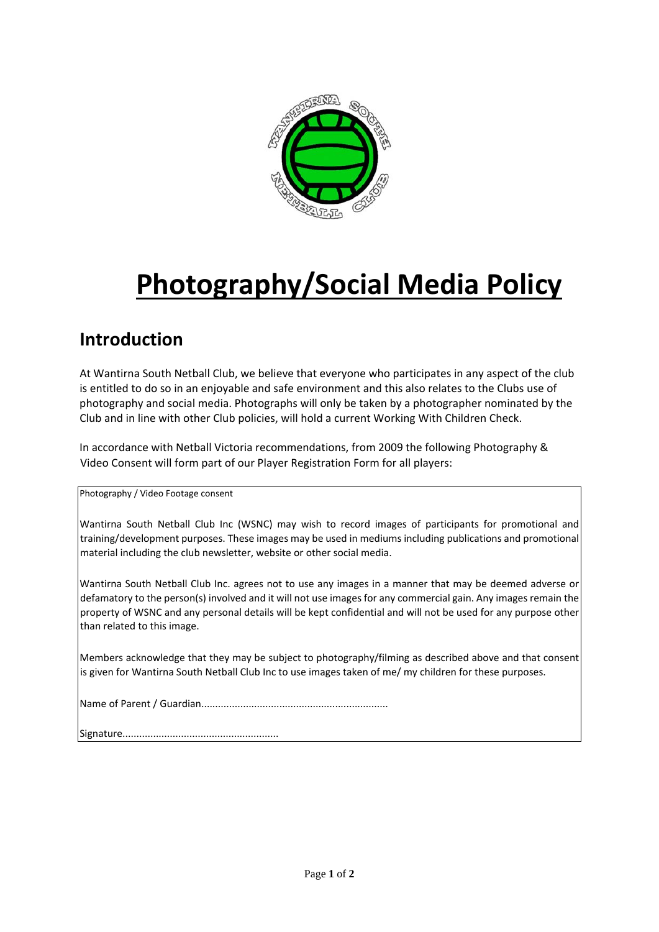

# **Photography/Social Media Policy**

## **Introduction**

At Wantirna South Netball Club, we believe that everyone who participates in any aspect of the club is entitled to do so in an enjoyable and safe environment and this also relates to the Clubs use of photography and social media. Photographs will only be taken by a photographer nominated by the Club and in line with other Club policies, will hold a current Working With Children Check.

In accordance with Netball Victoria recommendations, from 2009 the following Photography & Video Consent will form part of our Player Registration Form for all players:

Photography / Video Footage consent

Wantirna South Netball Club Inc (WSNC) may wish to record images of participants for promotional and training/development purposes. These images may be used in mediums including publications and promotional material including the club newsletter, website or other social media.

Wantirna South Netball Club Inc. agrees not to use any images in a manner that may be deemed adverse or defamatory to the person(s) involved and it will not use images for any commercial gain. Any images remain the property of WSNC and any personal details will be kept confidential and will not be used for any purpose other than related to this image.

Members acknowledge that they may be subject to photography/filming as described above and that consent is given for Wantirna South Netball Club Inc to use images taken of me/ my children for these purposes.

|--|--|

Signature........................................................